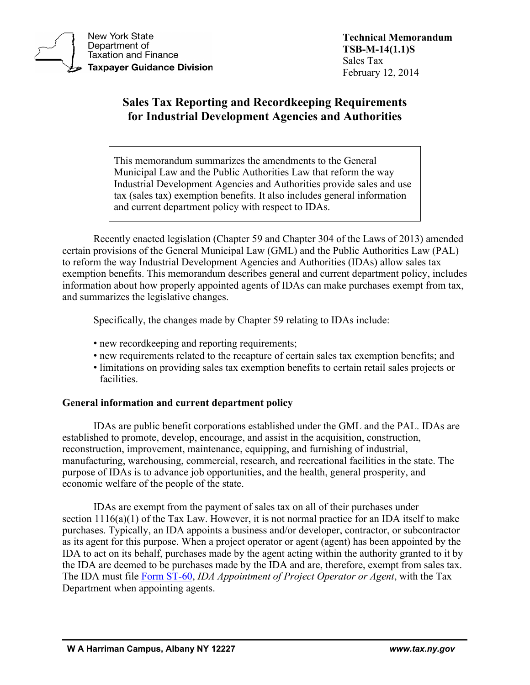

**New York State** Department of **Taxation and Finance Taxpayer Guidance Division**  **Technical Memorandum TSB-M-14(1.1)S**  Sales Tax February 12, 2014

# **Sales Tax Reporting and Recordkeeping Requirements for Industrial Development Agencies and Authorities**

This memorandum summarizes the amendments to the General Municipal Law and the Public Authorities Law that reform the way Industrial Development Agencies and Authorities provide sales and use tax (sales tax) exemption benefits. It also includes general information and current department policy with respect to IDAs.

Recently enacted legislation (Chapter 59 and Chapter 304 of the Laws of 2013) amended certain provisions of the General Municipal Law (GML) and the Public Authorities Law (PAL) to reform the way Industrial Development Agencies and Authorities (IDAs) allow sales tax exemption benefits. This memorandum describes general and current department policy, includes information about how properly appointed agents of IDAs can make purchases exempt from tax, and summarizes the legislative changes.

Specifically, the changes made by Chapter 59 relating to IDAs include:

- new recordkeeping and reporting requirements;
- new requirements related to the recapture of certain sales tax exemption benefits; and
- limitations on providing sales tax exemption benefits to certain retail sales projects or facilities.

# **General information and current department policy**

IDAs are public benefit corporations established under the GML and the PAL. IDAs are established to promote, develop, encourage, and assist in the acquisition, construction, reconstruction, improvement, maintenance, equipping, and furnishing of industrial, manufacturing, warehousing, commercial, research, and recreational facilities in the state. The purpose of IDAs is to advance job opportunities, and the health, general prosperity, and economic welfare of the people of the state.

IDAs are exempt from the payment of sales tax on all of their purchases under section 1116(a)(1) of the Tax Law. However, it is not normal practice for an IDA itself to make purchases. Typically, an IDA appoints a business and/or developer, contractor, or subcontractor as its agent for this purpose. When a project operator or agent (agent) has been appointed by the IDA to act on its behalf, purchases made by the agent acting within the authority granted to it by the IDA are deemed to be purchases made by the IDA and are, therefore, exempt from sales tax. The IDA must file [Form ST-60,](https://www.tax.ny.gov/pdf/current_forms/st/st60_fill_in.pdf) *IDA Appointment of Project Operator or Agent*, with the Tax Department when appointing agents.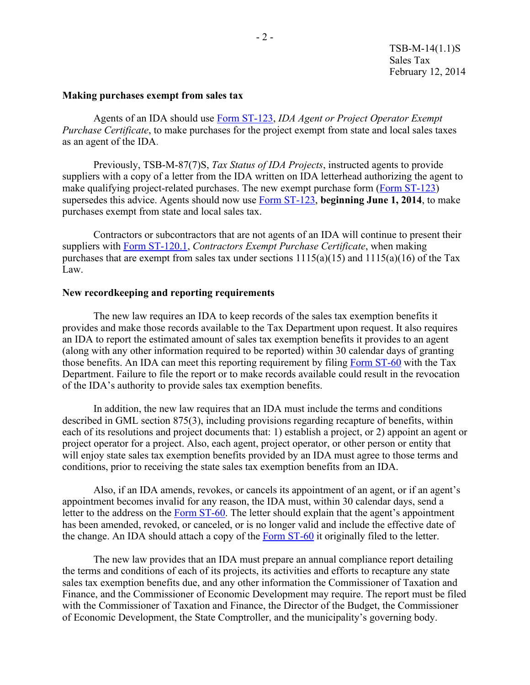#### **Making purchases exempt from sales tax**

Agents of an IDA should use [Form ST-123,](https://www.tax.ny.gov/pdf/current_forms/st/st123_fill_in.pdf) *IDA Agent or Project Operator Exempt Purchase Certificate*, to make purchases for the project exempt from state and local sales taxes as an agent of the IDA.

Previously, TSB-M-87(7)S, *Tax Status of IDA Projects*, instructed agents to provide suppliers with a copy of a letter from the IDA written on IDA letterhead authorizing the agent to make qualifying project-related purchases. The new exempt purchase form [\(Form ST-123\)](https://www.tax.ny.gov/pdf/current_forms/st/st123_fill_in.pdf) supersedes this advice. Agents should now use [Form ST-123,](https://www.tax.ny.gov/pdf/current_forms/st/st123_fill_in.pdf) **beginning June 1, 2014**, to make purchases exempt from state and local sales tax.

Contractors or subcontractors that are not agents of an IDA will continue to present their suppliers with [Form ST-120.1,](https://www.tax.ny.gov/pdf/current_forms/st/st120_1_fill_in.pdf) *Contractors Exempt Purchase Certificate*, when making purchases that are exempt from sales tax under sections  $1115(a)(15)$  and  $1115(a)(16)$  of the Tax Law.

#### **New recordkeeping and reporting requirements**

The new law requires an IDA to keep records of the sales tax exemption benefits it provides and make those records available to the Tax Department upon request. It also requires an IDA to report the estimated amount of sales tax exemption benefits it provides to an agent (along with any other information required to be reported) within 30 calendar days of granting those benefits. An IDA can meet this reporting requirement by filing [Form ST-60](https://www.tax.ny.gov/pdf/current_forms/st/st60_fill_in.pdf) with the Tax Department. Failure to file the report or to make records available could result in the revocation of the IDA's authority to provide sales tax exemption benefits.

In addition, the new law requires that an IDA must include the terms and conditions described in GML section 875(3), including provisions regarding recapture of benefits, within each of its resolutions and project documents that: 1) establish a project, or 2) appoint an agent or project operator for a project. Also, each agent, project operator, or other person or entity that will enjoy state sales tax exemption benefits provided by an IDA must agree to those terms and conditions, prior to receiving the state sales tax exemption benefits from an IDA.

Also, if an IDA amends, revokes, or cancels its appointment of an agent, or if an agent's appointment becomes invalid for any reason, the IDA must, within 30 calendar days, send a letter to the address on the [Form ST-60.](https://www.tax.ny.gov/pdf/current_forms/st/st60_fill_in.pdf) The letter should explain that the agent's appointment has been amended, revoked, or canceled, or is no longer valid and include the effective date of the change. An IDA should attach a copy of the [Form ST-60](https://www.tax.ny.gov/pdf/current_forms/st/st60_fill_in.pdf) it originally filed to the letter.

The new law provides that an IDA must prepare an annual compliance report detailing the terms and conditions of each of its projects, its activities and efforts to recapture any state sales tax exemption benefits due, and any other information the Commissioner of Taxation and Finance, and the Commissioner of Economic Development may require. The report must be filed with the Commissioner of Taxation and Finance, the Director of the Budget, the Commissioner of Economic Development, the State Comptroller, and the municipality's governing body.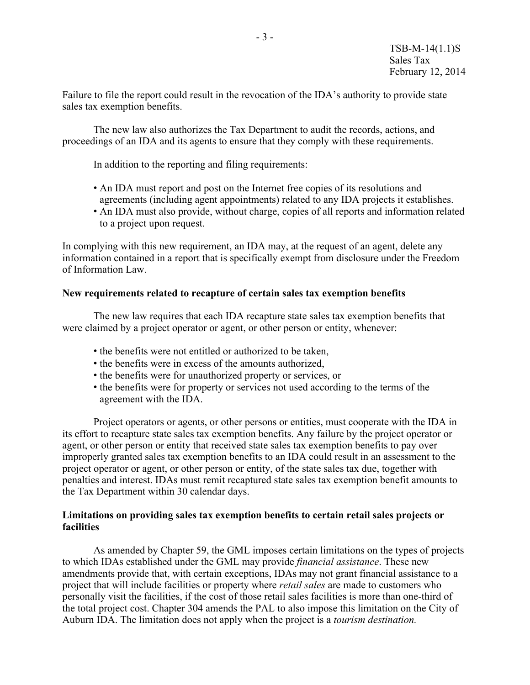Failure to file the report could result in the revocation of the IDA's authority to provide state sales tax exemption benefits.

The new law also authorizes the Tax Department to audit the records, actions, and proceedings of an IDA and its agents to ensure that they comply with these requirements.

In addition to the reporting and filing requirements:

- An IDA must report and post on the Internet free copies of its resolutions and agreements (including agent appointments) related to any IDA projects it establishes.
- An IDA must also provide, without charge, copies of all reports and information related to a project upon request.

In complying with this new requirement, an IDA may, at the request of an agent, delete any information contained in a report that is specifically exempt from disclosure under the Freedom of Information Law.

#### **New requirements related to recapture of certain sales tax exemption benefits**

The new law requires that each IDA recapture state sales tax exemption benefits that were claimed by a project operator or agent, or other person or entity, whenever:

- the benefits were not entitled or authorized to be taken,
- the benefits were in excess of the amounts authorized,
- the benefits were for unauthorized property or services, or
- the benefits were for property or services not used according to the terms of the agreement with the IDA.

Project operators or agents, or other persons or entities, must cooperate with the IDA in its effort to recapture state sales tax exemption benefits. Any failure by the project operator or agent, or other person or entity that received state sales tax exemption benefits to pay over improperly granted sales tax exemption benefits to an IDA could result in an assessment to the project operator or agent, or other person or entity, of the state sales tax due, together with penalties and interest. IDAs must remit recaptured state sales tax exemption benefit amounts to the Tax Department within 30 calendar days.

### **Limitations on providing sales tax exemption benefits to certain retail sales projects or facilities**

As amended by Chapter 59, the GML imposes certain limitations on the types of projects to which IDAs established under the GML may provide *financial assistance*. These new amendments provide that, with certain exceptions, IDAs may not grant financial assistance to a project that will include facilities or property where *retail sales* are made to customers who personally visit the facilities, if the cost of those retail sales facilities is more than one-third of the total project cost. Chapter 304 amends the PAL to also impose this limitation on the City of Auburn IDA. The limitation does not apply when the project is a *tourism destination.*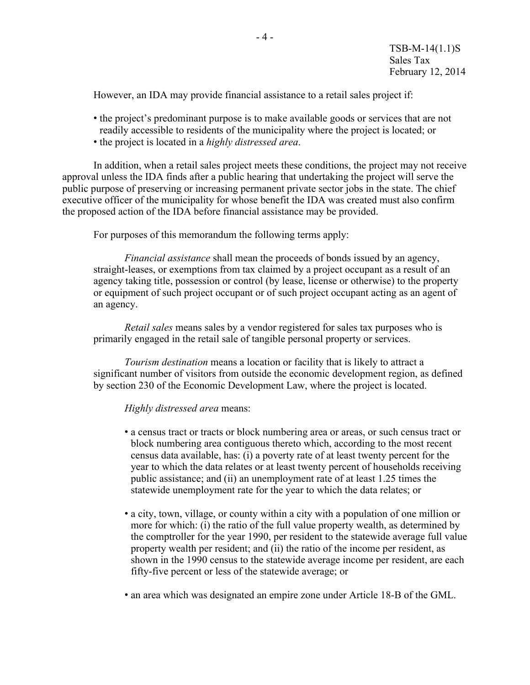However, an IDA may provide financial assistance to a retail sales project if:

- the project's predominant purpose is to make available goods or services that are not readily accessible to residents of the municipality where the project is located; or
- the project is located in a *highly distressed area*.

In addition, when a retail sales project meets these conditions, the project may not receive approval unless the IDA finds after a public hearing that undertaking the project will serve the public purpose of preserving or increasing permanent private sector jobs in the state. The chief executive officer of the municipality for whose benefit the IDA was created must also confirm the proposed action of the IDA before financial assistance may be provided.

For purposes of this memorandum the following terms apply:

*Financial assistance* shall mean the proceeds of bonds issued by an agency, straight-leases, or exemptions from tax claimed by a project occupant as a result of an agency taking title, possession or control (by lease, license or otherwise) to the property or equipment of such project occupant or of such project occupant acting as an agent of an agency.

*Retail sales* means sales by a vendor registered for sales tax purposes who is primarily engaged in the retail sale of tangible personal property or services.

*Tourism destination* means a location or facility that is likely to attract a significant number of visitors from outside the economic development region, as defined by section 230 of the Economic Development Law, where the project is located.

## *Highly distressed area* means:

- a census tract or tracts or block numbering area or areas, or such census tract or block numbering area contiguous thereto which, according to the most recent census data available, has: (i) a poverty rate of at least twenty percent for the year to which the data relates or at least twenty percent of households receiving public assistance; and (ii) an unemployment rate of at least 1.25 times the statewide unemployment rate for the year to which the data relates; or
- a city, town, village, or county within a city with a population of one million or more for which: (i) the ratio of the full value property wealth, as determined by the comptroller for the year 1990, per resident to the statewide average full value property wealth per resident; and (ii) the ratio of the income per resident, as shown in the 1990 census to the statewide average income per resident, are each fifty-five percent or less of the statewide average; or
- an area which was designated an empire zone under Article 18-B of the GML.